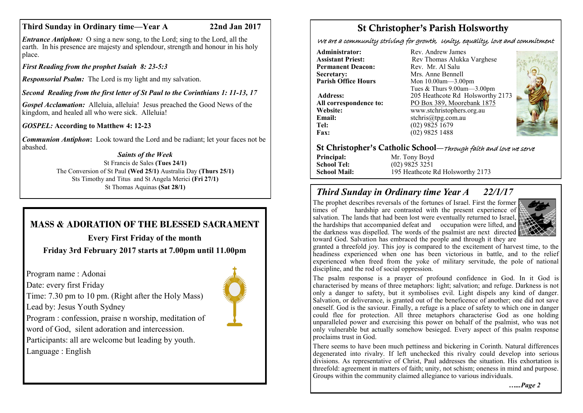## **Third Sunday in Ordinary time—Year A 22nd Jan 2017**

*Entrance Antiphon:* O sing a new song, to the Lord; sing to the Lord, all the earth. In his presence are majesty and splendour, strength and honour in his holy place.

*First Reading from the prophet Isaiah 8: 23-5:3*

*Responsorial Psalm:* The Lord is my light and my salvation.

*Second Reading from the first letter of St Paul to the Corinthians 1: 11-13, 17*

*Gospel Acclamation:* Alleluia, alleluia! Jesus preached the Good News of the kingdom, and healed all who were sick. Alleluia!

*GOSPEL:* **According to Matthew 4: 12-23**

*Communion Antiphon***:** Look toward the Lord and be radiant; let your faces not be abashed.

#### *Saints of the Week* St Francis de Sales **(Tues 24/1)**

The Conversion of St Paul **(Wed 25/1)** Australia Day **(Thurs 25/1)** Sts Timothy and Titus and St Angela Merici **(Fri 27/1)** St Thomas Aquinas **(Sat 28/1)**

# **MASS & ADORATION OF THE BLESSED SACRAMENT**

**Every First Friday of the month Friday 3rd February 2017 starts at 7.00pm until 11.00pm**

Program name : Adonai

Date: every first Friday

Lead by: Jesus Youth Sydney

Time: 7.30 pm to 10 pm. (Right after the Holy Mass)

Program : confession, praise n worship, meditation of word of God, silent adoration and intercession.

Participants: all are welcome but leading by youth. Language : English

# St Christopher's Parish Holsworthy

We are a community striving for growth, Unity, equality, love and commitment

**Administrator:** Rev. Andrew James<br> **Assistant Priest:** Rev Thomas Alukka **Permanent Deacon:**<br>Secretary: **Secretary:** Mrs. Anne Bennell<br> **Parish Office Hours** Mon 10.00am - 3.00

**Email:** stchris@tpg.com.au<br> **Tel:** (02) 9825 1679 **Tel:** (02) 9825 1679<br>**Fax:** (02) 9825 1488

**Rev Thomas Alukka Varghese**<br>Rev Mr Al Salu **Mon 10.00am—3.00pm** Tues & Thurs 9.00am—3.00pm **Address:** 205 Heathcote Rd Holsworthy 2173 **All correspondence to:** PO Box 389, Moorebank 1875 **Website:** www.stchristophers.org.au<br> **Email:** stchris@tng.com au **Fax:** (02) 9825 1488



## St Christopher's Catholic School—Through faith and love we serve

**Principal:** Mr. Tony Boyd<br> **School Tel:** (02) 9825 3251 **School Tel:** (02) 9825 3251<br> **School Mail:** 195 Heathcote F 195 Heathcote Rd Holsworthy 2173

## *Third Sunday in Ordinary time Year A 22/1/17*

The prophet describes reversals of the fortunes of Israel. First the former times of hardship are contrasted with the present experience of hardship are contrasted with the present experience of salvation. The lands that had been lost were eventually returned to Israel, the hardships that accompanied defeat and occupation were lifted, and the darkness was dispelled. The words of the psalmist are next directed toward God. Salvation has embraced the people and through it they are



granted a threefold joy. This joy is compared to the excitement of harvest time, to the headiness experienced when one has been victorious in battle, and to the relief experienced when freed from the yoke of military servitude, the pole of national discipline, and the rod of social oppression.

The psalm response is a prayer of profound confidence in God. In it God is characterised by means of three metaphors: light; salvation; and refuge. Darkness is not only a danger to safety, but it symbolises evil. Light dispels any kind of danger. Salvation, or deliverance, is granted out of the beneficence of another; one did not save oneself. God is the saviour. Finally, a refuge is a place of safety to which one in danger could flee for protection. All three metaphors characterise God as one holding unparalleled power and exercising this power on behalf of the psalmist, who was not only vulnerable but actually somehow besieged. Every aspect of this psalm response proclaims trust in God.

There seems to have been much pettiness and bickering in Corinth. Natural differences degenerated into rivalry. If left unchecked this rivalry could develop into serious divisions. As representative of Christ, Paul addresses the situation. His exhortation is threefold: agreement in matters of faith; unity, not schism; oneness in mind and purpose. Groups within the community claimed allegiance to various individuals.

*…...Page 2*